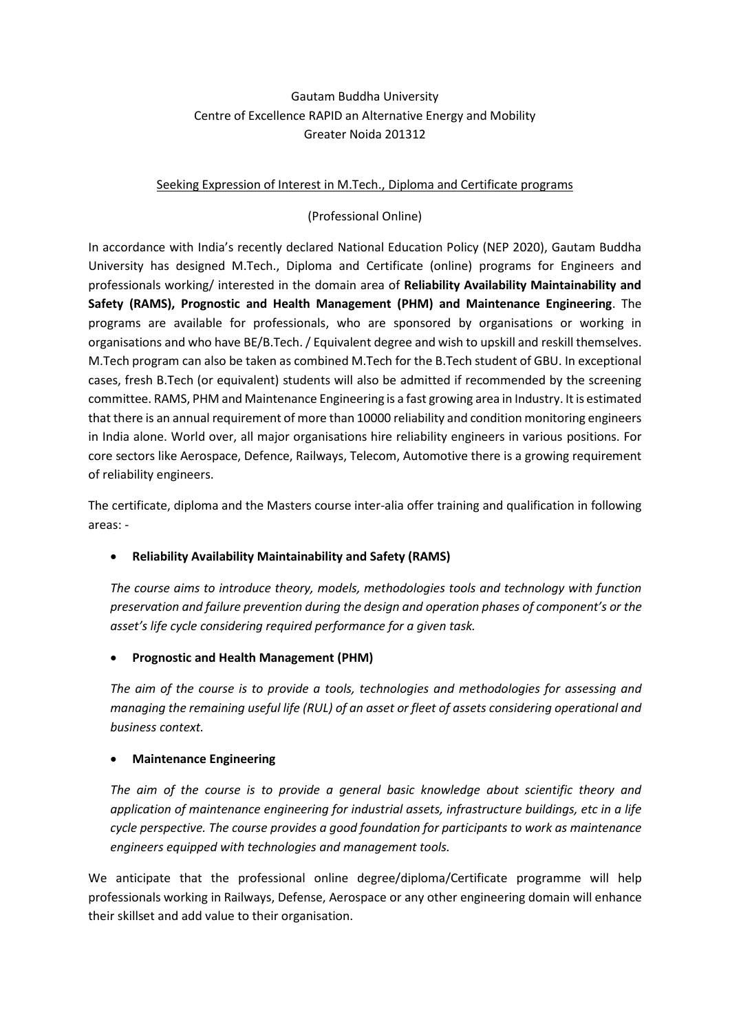# Gautam Buddha University Centre of Excellence RAPID an Alternative Energy and Mobility Greater Noida 201312

### Seeking Expression of Interest in M.Tech., Diploma and Certificate programs

## (Professional Online)

In accordance with India's recently declared National Education Policy (NEP 2020), Gautam Buddha University has designed M.Tech., Diploma and Certificate (online) programs for Engineers and professionals working/ interested in the domain area of **Reliability Availability Maintainability and Safety (RAMS), Prognostic and Health Management (PHM) and Maintenance Engineering**. The programs are available for professionals, who are sponsored by organisations or working in organisations and who have BE/B.Tech. / Equivalent degree and wish to upskill and reskill themselves. M.Tech program can also be taken as combined M.Tech for the B.Tech student of GBU. In exceptional cases, fresh B.Tech (or equivalent) students will also be admitted if recommended by the screening committee. RAMS, PHM and Maintenance Engineering is a fast growing area in Industry. It is estimated that there is an annual requirement of more than 10000 reliability and condition monitoring engineers in India alone. World over, all major organisations hire reliability engineers in various positions. For core sectors like Aerospace, Defence, Railways, Telecom, Automotive there is a growing requirement of reliability engineers.

The certificate, diploma and the Masters course inter-alia offer training and qualification in following areas: -

# • **Reliability Availability Maintainability and Safety (RAMS)**

*The course aims to introduce theory, models, methodologies tools and technology with function preservation and failure prevention during the design and operation phases of component's or the asset's life cycle considering required performance for a given task.*

### • **Prognostic and Health Management (PHM)**

*The aim of the course is to provide a tools, technologies and methodologies for assessing and managing the remaining useful life (RUL) of an asset or fleet of assets considering operational and business context.*

### • **Maintenance Engineering**

*The aim of the course is to provide a general basic knowledge about scientific theory and application of maintenance engineering for industrial assets, infrastructure buildings, etc in a life cycle perspective. The course provides a good foundation for participants to work as maintenance engineers equipped with technologies and management tools.* 

We anticipate that the professional online degree/diploma/Certificate programme will help professionals working in Railways, Defense, Aerospace or any other engineering domain will enhance their skillset and add value to their organisation.